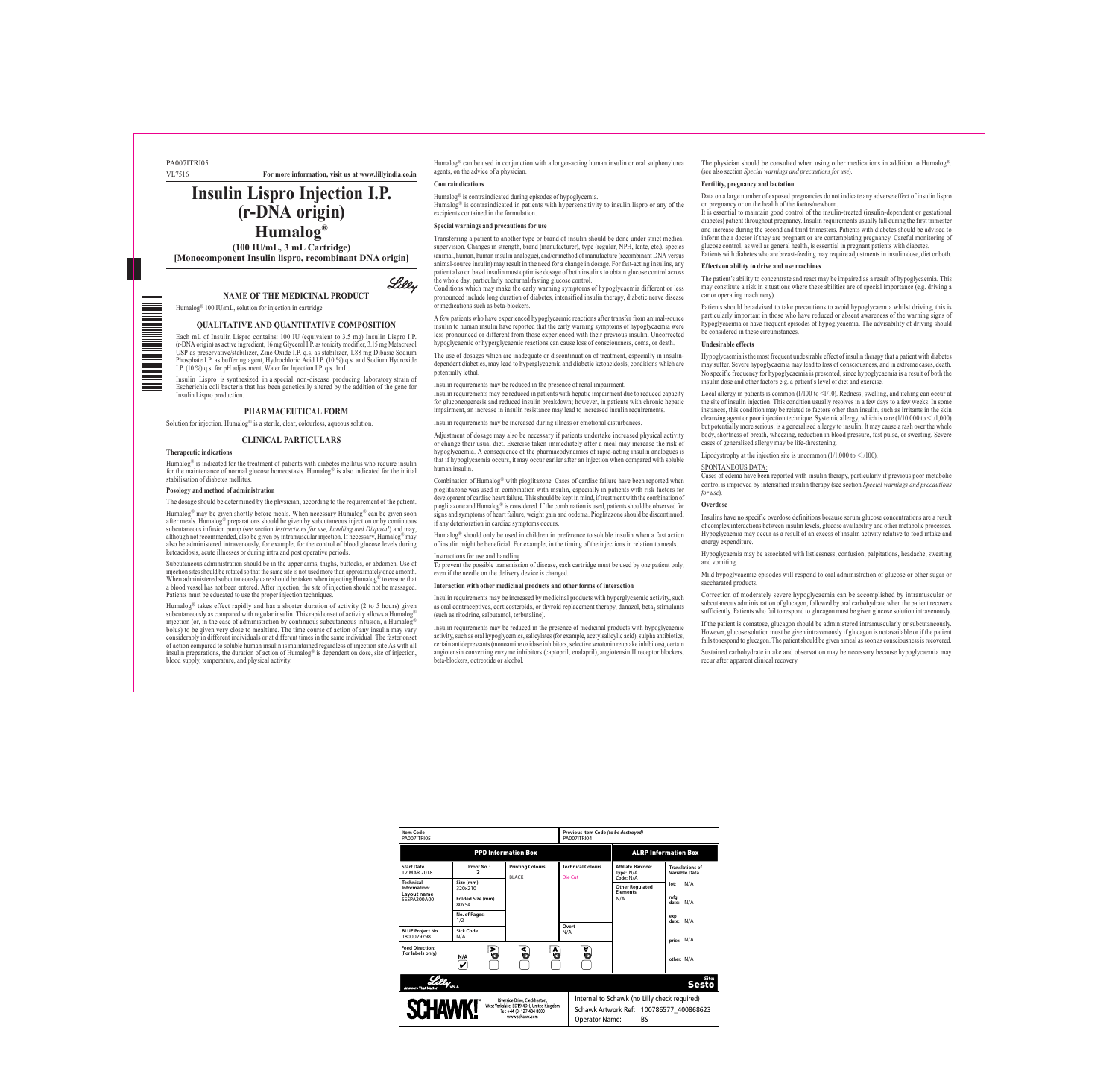# VL7516 **For more information, visit us at www.lillyindia.co.in**

# **Insulin Lispro Injection I.P. (r-DNA origin)**

# **Humalog®**

**(100 IU/mL, 3 mL Cartridge) [Monocomponent Insulin lispro, recombinant DNA origin]**

Lilly

**NAME OF THE MEDICINAL PRODUCT** Humalog® 100 IU/mL, solution for injection in cartridge

# **QUALITATIVE AND QUANTITATIVE COMPOSITION**

Each mL of Insulin Lispro contains: 100 IU (equivalent to 3.5 mg) Insulin Lispro I.P. (r-DNA origin) as active ingredient, 16 mg Glycerol I.P. as tonicity modifier, 3.15 mg Metacresol USP as preservative/stabilizer, Zinc Oxide I.P. q.s. as stabilizer, 1.88 mg Dibasic Sodium Phosphate I.P. as buffering agent, Hydrochloric Acid I.P. (10 %) q.s. and Sodium Hydroxide I.P. (10 %) q.s. for pH adjustment, Water for Injection I.P. q.s. 1mL.

Humalog® is indicated for the treatment of patients with diabetes mellitus who require insulin for the maintenance of normal glucose homeostasis. Humalog® is also indicated for the initial stabilisation of diabetes mellitus.

Insulin Lispro is synthesized in a special non-disease producing laboratory strain of Escherichia coli bacteria that has been genetically altered by the addition of the gene for Insulin Lispro production.

#### **PHARMACEUTICAL FORM**

Solution for injection. Humalog® is a sterile, clear, colourless, aqueous solution.

#### **CLINICAL PARTICULARS**

#### **Therapeutic indications**

### **Posology and method of administration**

The dosage should be determined by the physician, according to the requirement of the patient.

Humalog® may be given shortly before meals. When necessary Humalog® can be given soon after meals. Humalog® preparations should be given by subcutaneous injection or by continuous subcutaneous infusion pump (see section *Instructions for use, handling and Disposal*) and may, although not recommended, also be given by intramuscular injection. If necessary, Humalog® may also be administered intravenously, for example; for the control of blood glucose levels during ketoacidosis, acute illnesses or during intra and post operative periods.

Humalog<sup>®</sup> is contraindicated in patients with hypersensitivity to insulin lispro or any of the excipients contained in the formulation.

Subcutaneous administration should be in the upper arms, thighs, buttocks, or abdomen. Use of injection sites should be rotated so that the same site is not used more than approximately once a month. When administered subcutaneously care should be taken when injecting Humalog<sup>®</sup> to ensure that a blood vessel has not been entered. After injection, the site of injection should not be massaged. Patients must be educated to use the proper injection techniques.

Humalog® takes effect rapidly and has a shorter duration of activity (2 to 5 hours) given subcutaneously as compared with regular insulin. This rapid onset of activity allows a Humalog injection (or, in the case of administration by continuous subcutaneous infusion, a Humalog bolus) to be given very close to mealtime. The time course of action of any insulin may vary considerably in different individuals or at different times in the same individual. The faster onset of action compared to soluble human insulin is maintained regardless of injection site As with all insulin preparations, the duration of action of Humalog® is dependent on dose, site of injection, blood supply, temperature, and physical activity.

Humalog® can be used in conjunction with a longer-acting human insulin or oral sulphonylurea agents, on the advice of a physician. **Contraindications**

Humalog® is contraindicated during episodes of hypoglycemia.

# **Special warnings and precautions for use**

Transferring a patient to another type or brand of insulin should be done under strict medical supervision. Changes in strength, brand (manufacturer), type (regular, NPH, lente, etc.), species (animal, human, human insulin analogue), and/or method of manufacture (recombinant DNA versus animal-source insulin) may result in the need for a change in dosage. For fast-acting insulins, any patient also on basal insulin must optimise dosage of both insulins to obtain glucose control across the whole day, particularly nocturnal/fasting glucose control.

Conditions which may make the early warning symptoms of hypoglycaemia different or less pronounced include long duration of diabetes, intensified insulin therapy, diabetic nerve disease or medications such as beta-blockers.

Patients should be advised to take precautions to avoid hypoglycaemia whilst driving, this is particularly important in those who have reduced or absent awareness of the warning signs of hypoglycaemia or have frequent episodes of hypoglycaemia. The advisability of driving should be considered in these circumstances.

A few patients who have experienced hypoglycaemic reactions after transfer from animal-source insulin to human insulin have reported that the early warning symptoms of hypoglycaemia were less pronounced or different from those experienced with their previous insulin. Uncorrected hypoglycaemic or hyperglycaemic reactions can cause loss of consciousness, coma, or death.

The use of dosages which are inadequate or discontinuation of treatment, especially in insulin-

dependent diabetics, may lead to hyperglycaemia and diabetic ketoacidosis; conditions which are potentially lethal.

> Local allergy in patients is common (1/100 to <1/10). Redness, swelling, and itching can occur at the site of insulin injection. This condition usually resolves in a few days to a few weeks. In some instances, this condition may be related to factors other than insulin, such as irritants in the skin cleansing agent or poor injection technique. Systemic allergy, which is rare  $(1/10,000$  to  $\leq 1/1,000$ ) but potentially more serious, is a generalised allergy to insulin. It may cause a rash over the whole body, shortness of breath, wheezing, reduction in blood pressure, fast pulse, or sweating. Severe cases of generalised allergy may be life-threatening.

Insulin requirements may be reduced in the presence of renal impairment. Insulin requirements may be reduced in patients with hepatic impairment due to reduced capacity

> Lipodystrophy at the injection site is uncommon (1/1,000 to <1/100). SPONTANEOUS DATA:

for gluconeogenesis and reduced insulin breakdown; however, in patients with chronic hepatic impairment, an increase in insulin resistance may lead to increased insulin requirements.

Insulin requirements may be increased during illness or emotional disturbances.

Mild hypoglycaemic episodes will respond to oral administration of glucose or other sugar or saccharated products.

Adjustment of dosage may also be necessary if patients undertake increased physical activity or change their usual diet. Exercise taken immediately after a meal may increase the risk of hypoglycaemia. A consequence of the pharmacodynamics of rapid-acting insulin analogues is that if hypoglycaemia occurs, it may occur earlier after an injection when compared with soluble human insulin.

Combination of Humalog® with pioglitazone: Cases of cardiac failure have been reported when pioglitazone was used in combination with insulin, especially in patients with risk factors for development of cardiac heart failure. This should be kept in mind, if treatment with the combination of pioglitazone and Humalog® is considered. If the combination is used, patients should be observed for signs and symptoms of heart failure, weight gain and oedema. Pioglitazone should be discontinued, if any deterioration in cardiac symptoms occurs.

| <b>Item Code</b><br>PA007ITRI05                                       |                           |                                                                                                                          | PA007ITRI04                         | Previous Item Code (to be destroyed)                                                                            |                                         |  |
|-----------------------------------------------------------------------|---------------------------|--------------------------------------------------------------------------------------------------------------------------|-------------------------------------|-----------------------------------------------------------------------------------------------------------------|-----------------------------------------|--|
|                                                                       |                           | <b>PPD Information Box</b>                                                                                               |                                     | <b>ALRP Information Box</b>                                                                                     |                                         |  |
| <b>Start Date</b><br>12 MAR 2018                                      | Proof No.:<br>,           | <b>Printing Colours</b><br><b>BLACK</b>                                                                                  | <b>Technical Colours</b><br>Die Cut | Affiliate Barcode:<br>Type: N/A<br>Code: N/A                                                                    | <b>Translations of</b><br>Variable Data |  |
| <b>Technical</b><br>Information:<br>Lavout name<br><b>SESPA200A00</b> | Size (mm):<br>320x210     |                                                                                                                          |                                     | <b>Other Regulated</b><br><b>Elements</b><br>N/A                                                                | N/A<br>lot:                             |  |
|                                                                       | Folded Size (mm)<br>80x54 |                                                                                                                          |                                     |                                                                                                                 | mfq<br>N/A<br>date:                     |  |
|                                                                       | No. of Pages:<br>1/2      |                                                                                                                          |                                     |                                                                                                                 | exp<br>N/A<br>date:                     |  |
| <b>BLUE Project No.</b><br>1800029798                                 | Sick Code<br>N/A          |                                                                                                                          | Overt<br>N/A                        |                                                                                                                 | price: N/A                              |  |
| <b>Feed Direction:</b><br>(For labels only)                           | Þ<br>O<br>N/A<br>V        | ⋖<br>о                                                                                                                   | ४<br>A<br>O                         |                                                                                                                 | other: N/A                              |  |
| <b>Answers That Matter.</b>                                           | v5.4                      |                                                                                                                          |                                     |                                                                                                                 | <b>Site:</b><br>Sesto                   |  |
| <b>SCHAWKI</b>                                                        |                           | Riverside Drive, Cleckheaton,<br>West Yorkshire, BD19 4DH, United Kingdom<br>Tel: +44 (0) 127 484 8000<br>www.schawk.com |                                     | Internal to Schawk (no Lilly check required)<br>Schawk Artwork Ref: 100786577 400868623<br>BS<br>Operator Name: |                                         |  |

Humalog® should only be used in children in preference to soluble insulin when a fast action of insulin might be beneficial. For example, in the timing of the injections in relation to meals.

#### Instructions for use and handling

To prevent the possible transmission of disease, each cartridge must be used by one patient only, even if the needle on the delivery device is changed.

# **Interaction with other medicinal products and other forms of interaction**

Insulin requirements may be increased by medicinal products with hyperglycaemic activity, such as oral contraceptives, corticosteroids, or thyroid replacement therapy, danazol, beta, stimulants (such as ritodrine, salbutamol, terbutaline).

Insulin requirements may be reduced in the presence of medicinal products with hypoglycaemic activity, such as oral hypoglycemics, salicylates (for example, acetylsalicylic acid), sulpha antibiotics, certain antidepressants (monoamine oxidase inhibitors, selective serotonin reuptake inhibitors), certain angiotensin converting enzyme inhibitors (captopril, enalapril), angiotensin II receptor blockers, beta-blockers, octreotide or alcohol.

The physician should be consulted when using other medications in addition to Humalog®. (see also section *Special warnings and precautions for use*).

#### **Fertility, pregnancy and lactation**

Data on a large number of exposed pregnancies do not indicate any adverse effect of insulin lispro on pregnancy or on the health of the foetus/newborn. It is essential to maintain good control of the insulin-treated (insulin-dependent or gestational diabetes) patient throughout pregnancy. Insulin requirements usually fall during the first trimester and increase during the second and third trimesters. Patients with diabetes should be advised to inform their doctor if they are pregnant or are contemplating pregnancy. Careful monitoring of glucose control, as well as general health, is essential in pregnant patients with diabetes. Patients with diabetes who are breast-feeding may require adjustments in insulin dose, diet or both.

#### **Effects on ability to drive and use machines**

The patient's ability to concentrate and react may be impaired as a result of hypoglycaemia. This may constitute a risk in situations where these abilities are of special importance (e.g. driving a car or operating machinery).

#### **Undesirable effects**

Hypoglycaemia is the most frequent undesirable effect of insulin therapy that a patient with diabetes may suffer. Severe hypoglycaemia may lead to loss of consciousness, and in extreme cases, death. No specific frequency for hypoglycaemia is presented, since hypoglycaemia is a result of both the insulin dose and other factors e.g. a patient`s level of diet and exercise.

Cases of edema have been reported with insulin therapy, particularly if previous poor metabolic control is improved by intensified insulin therapy (see section *Special warnings and precautions for use*).

#### **Overdose**

#### Insulins have no specific overdose definitions because serum glucose concentrations are a result of complex interactions between insulin levels, glucose availability and other metabolic processes. Hypoglycaemia may occur as a result of an excess of insulin activity relative to food intake and energy expenditure.

Hypoglycaemia may be associated with listlessness, confusion, palpitations, headache, sweating and vomiting.

Correction of moderately severe hypoglycaemia can be accomplished by intramuscular or subcutaneous administration of glucagon, followed by oral carbohydrate when the patient recovers sufficiently. Patients who fail to respond to glucagon must be given glucose solution intravenously.

If the patient is comatose, glucagon should be administered intramuscularly or subcutaneously. However, glucose solution must be given intravenously if glucagon is not available or if the patient fails to respond to glucagon. The patient should be given a meal as soon as consciousness is recovered. Sustained carbohydrate intake and observation may be necessary because hypoglycaemia may recur after apparent clinical recovery.

PA007ITRI05

<u>e</u>

 $\equiv$ 三